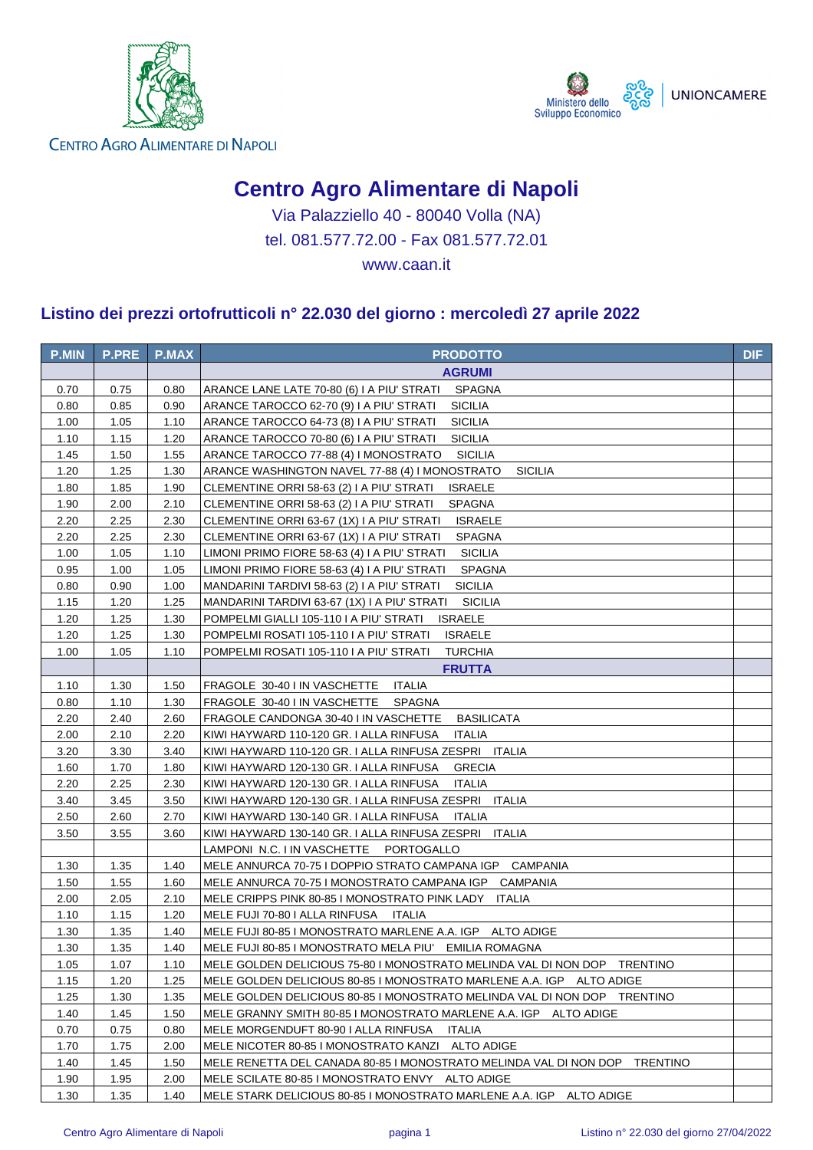



CENTRO AGRO ALIMENTARE DI NAPOLI

## **Centro Agro Alimentare di Napoli**

Via Palazziello 40 - 80040 Volla (NA) tel. 081.577.72.00 - Fax 081.577.72.01

www.caan.it

## **Listino dei prezzi ortofrutticoli n° 22.030 del giorno : mercoledì 27 aprile 2022**

| <b>P.MIN</b> | <b>P.PRE</b> | <b>P.MAX</b> | <b>PRODOTTO</b>                                                            | <b>DIF</b> |
|--------------|--------------|--------------|----------------------------------------------------------------------------|------------|
|              |              |              | <b>AGRUMI</b>                                                              |            |
| 0.70         | 0.75         | 0.80         | ARANCE LANE LATE 70-80 (6) I A PIU' STRATI<br>SPAGNA                       |            |
| 0.80         | 0.85         | 0.90         | <b>SICILIA</b><br>ARANCE TAROCCO 62-70 (9) I A PIU' STRATI                 |            |
| 1.00         | 1.05         | 1.10         | <b>SICILIA</b><br>ARANCE TAROCCO 64-73 (8) I A PIU' STRATI                 |            |
| 1.10         | 1.15         | 1.20         | <b>SICILIA</b><br>ARANCE TAROCCO 70-80 (6) I A PIU' STRATI                 |            |
| 1.45         | 1.50         | 1.55         | ARANCE TAROCCO 77-88 (4) I MONOSTRATO<br><b>SICILIA</b>                    |            |
| 1.20         | 1.25         | 1.30         | ARANCE WASHINGTON NAVEL 77-88 (4) I MONOSTRATO<br><b>SICILIA</b>           |            |
| 1.80         | 1.85         | 1.90         | <b>ISRAELE</b><br>CLEMENTINE ORRI 58-63 (2) I A PIU' STRATI                |            |
| 1.90         | 2.00         | 2.10         | <b>SPAGNA</b><br>CLEMENTINE ORRI 58-63 (2) I A PIU' STRATI                 |            |
| 2.20         | 2.25         | 2.30         | CLEMENTINE ORRI 63-67 (1X) I A PIU' STRATI<br><b>ISRAELE</b>               |            |
| 2.20         | 2.25         | 2.30         | CLEMENTINE ORRI 63-67 (1X) I A PIU' STRATI<br><b>SPAGNA</b>                |            |
| 1.00         | 1.05         | 1.10         | LIMONI PRIMO FIORE 58-63 (4) I A PIU' STRATI<br><b>SICILIA</b>             |            |
| 0.95         | 1.00         | 1.05         | LIMONI PRIMO FIORE 58-63 (4) I A PIU' STRATI<br><b>SPAGNA</b>              |            |
| 0.80         | 0.90         | 1.00         | <b>SICILIA</b><br>MANDARINI TARDIVI 58-63 (2) I A PIU' STRATI              |            |
| 1.15         | 1.20         | 1.25         | <b>SICILIA</b><br>MANDARINI TARDIVI 63-67 (1X) I A PIU' STRATI             |            |
| 1.20         | 1.25         | 1.30         | POMPELMI GIALLI 105-110 I A PIU' STRATI<br><b>ISRAELE</b>                  |            |
| 1.20         | 1.25         | 1.30         | POMPELMI ROSATI 105-110 I A PIU' STRATI<br><b>ISRAELE</b>                  |            |
| 1.00         | 1.05         | 1.10         | POMPELMI ROSATI 105-110 I A PIU' STRATI<br><b>TURCHIA</b>                  |            |
|              |              |              | <b>FRUTTA</b>                                                              |            |
| 1.10         | 1.30         | 1.50         | FRAGOLE 30-40 I IN VASCHETTE<br><b>ITALIA</b>                              |            |
| 0.80         | 1.10         | 1.30         | FRAGOLE 30-40 I IN VASCHETTE<br>SPAGNA                                     |            |
| 2.20         | 2.40         | 2.60         | FRAGOLE CANDONGA 30-40 I IN VASCHETTE<br><b>BASILICATA</b>                 |            |
| 2.00         | 2.10         | 2.20         | KIWI HAYWARD 110-120 GR. I ALLA RINFUSA<br><b>ITALIA</b>                   |            |
| 3.20         | 3.30         | 3.40         | KIWI HAYWARD 110-120 GR. I ALLA RINFUSA ZESPRI ITALIA                      |            |
| 1.60         | 1.70         | 1.80         | KIWI HAYWARD 120-130 GR. I ALLA RINFUSA<br><b>GRECIA</b>                   |            |
| 2.20         | 2.25         | 2.30         | KIWI HAYWARD 120-130 GR. I ALLA RINFUSA<br><b>ITALIA</b>                   |            |
| 3.40         | 3.45         | 3.50         | KIWI HAYWARD 120-130 GR. I ALLA RINFUSA ZESPRI ITALIA                      |            |
| 2.50         | 2.60         | 2.70         | KIWI HAYWARD 130-140 GR. I ALLA RINFUSA<br>ITALIA                          |            |
| 3.50         | 3.55         | 3.60         | KIWI HAYWARD 130-140 GR. I ALLA RINFUSA ZESPRI ITALIA                      |            |
|              |              |              | LAMPONI N.C. I IN VASCHETTE PORTOGALLO                                     |            |
| 1.30         | 1.35         | 1.40         | MELE ANNURCA 70-75 I DOPPIO STRATO CAMPANA IGP CAMPANIA                    |            |
| 1.50         | 1.55         | 1.60         | MELE ANNURCA 70-75 I MONOSTRATO CAMPANA IGP CAMPANIA                       |            |
| 2.00         | 2.05         | 2.10         | MELE CRIPPS PINK 80-85 I MONOSTRATO PINK LADY ITALIA                       |            |
| 1.10         | 1.15         | 1.20         | MELE FUJI 70-80 I ALLA RINFUSA<br>ITALIA                                   |            |
| 1.30         | 1.35         | 1.40         | MELE FUJI 80-85 I MONOSTRATO MARLENE A.A. IGP ALTO ADIGE                   |            |
| 1.30         | 1.35         | 1.40         | MELE FUJI 80-85 I MONOSTRATO MELA PIU' EMILIA ROMAGNA                      |            |
| 1.05         | 1.07         | 1.10         | MELE GOLDEN DELICIOUS 75-80 I MONOSTRATO MELINDA VAL DI NON DOP TRENTINO   |            |
| 1.15         | 1.20         | 1.25         | MELE GOLDEN DELICIOUS 80-85 I MONOSTRATO MARLENE A.A. IGP ALTO ADIGE       |            |
| 1.25         | 1.30         | 1.35         | MELE GOLDEN DELICIOUS 80-85 I MONOSTRATO MELINDA VAL DI NON DOP TRENTINO   |            |
| 1.40         | 1.45         | 1.50         | MELE GRANNY SMITH 80-85 I MONOSTRATO MARLENE A.A. IGP ALTO ADIGE           |            |
| 0.70         | 0.75         | 0.80         | MELE MORGENDUFT 80-90 I ALLA RINFUSA<br>ITALIA                             |            |
| 1.70         | 1.75         | 2.00         | MELE NICOTER 80-85 I MONOSTRATO KANZI ALTO ADIGE                           |            |
| 1.40         | 1.45         | 1.50         | MELE RENETTA DEL CANADA 80-85 I MONOSTRATO MELINDA VAL DI NON DOP TRENTINO |            |
| 1.90         | 1.95         | 2.00         | MELE SCILATE 80-85 I MONOSTRATO ENVY ALTO ADIGE                            |            |
| 1.30         | 1.35         | 1.40         | MELE STARK DELICIOUS 80-85 I MONOSTRATO MARLENE A.A. IGP ALTO ADIGE        |            |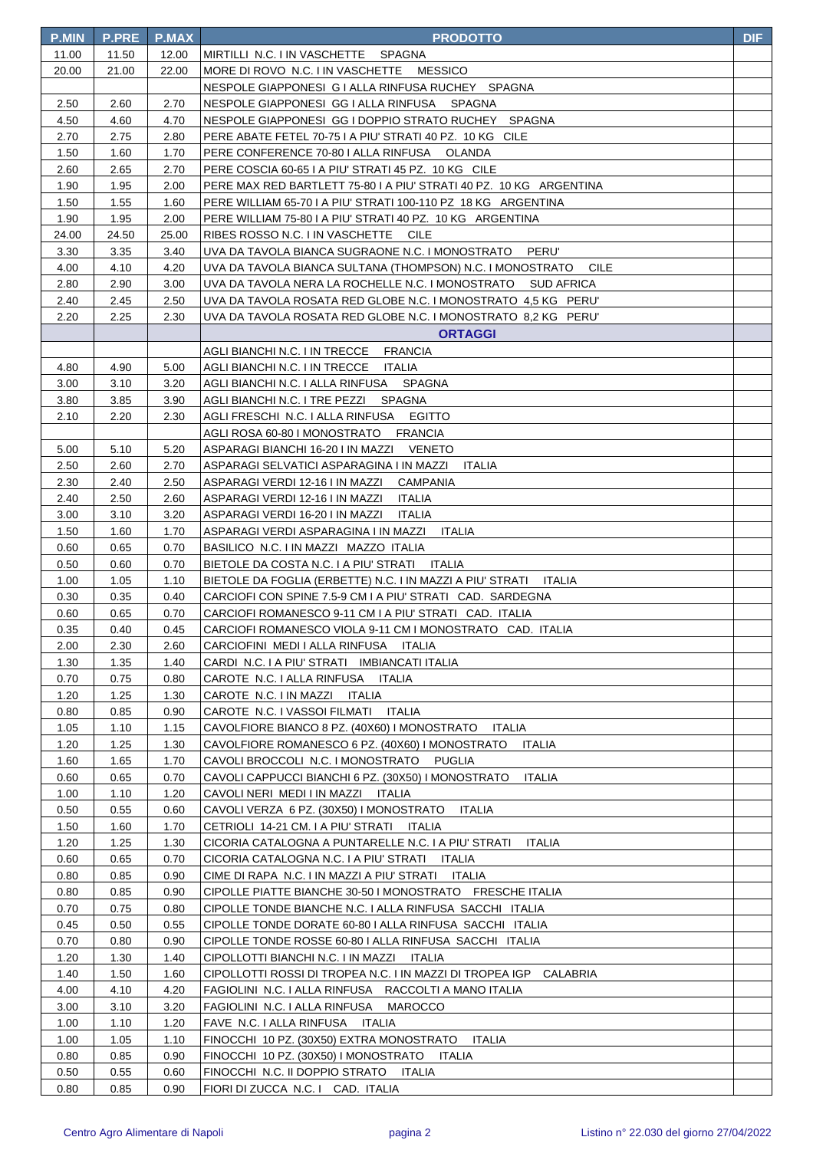| <b>P.MIN</b> | <b>P.PRE</b> | <b>P.MAX</b> | <b>PRODOTTO</b>                                                          | <b>DIF</b> |
|--------------|--------------|--------------|--------------------------------------------------------------------------|------------|
| 11.00        | 11.50        | 12.00        | MIRTILLI N.C. I IN VASCHETTE SPAGNA                                      |            |
| 20.00        | 21.00        | 22.00        | MORE DI ROVO N.C. I IN VASCHETTE MESSICO                                 |            |
|              |              |              | NESPOLE GIAPPONESI G I ALLA RINFUSA RUCHEY SPAGNA                        |            |
| 2.50         | 2.60         | 2.70         | NESPOLE GIAPPONESI GG I ALLA RINFUSA SPAGNA                              |            |
| 4.50         | 4.60         | 4.70         | NESPOLE GIAPPONESI GG I DOPPIO STRATO RUCHEY SPAGNA                      |            |
| 2.70         | 2.75         | 2.80         | PERE ABATE FETEL 70-75 I A PIU' STRATI 40 PZ. 10 KG CILE                 |            |
| 1.50         | 1.60         | 1.70         | PERE CONFERENCE 70-80   ALLA RINFUSA OLANDA                              |            |
| 2.60         | 2.65         | 2.70         | PERE COSCIA 60-65 I A PIU' STRATI 45 PZ. 10 KG CILE                      |            |
| 1.90         | 1.95         | 2.00         | PERE MAX RED BARTLETT 75-80 I A PIU' STRATI 40 PZ. 10 KG ARGENTINA       |            |
| 1.50         | 1.55         | 1.60         | PERE WILLIAM 65-70 I A PIU' STRATI 100-110 PZ 18 KG ARGENTINA            |            |
| 1.90         | 1.95         | 2.00         | PERE WILLIAM 75-80 I A PIU' STRATI 40 PZ. 10 KG ARGENTINA                |            |
| 24.00        | 24.50        | 25.00        | RIBES ROSSO N.C. I IN VASCHETTE CILE                                     |            |
| 3.30         | 3.35         | 3.40         | UVA DA TAVOLA BIANCA SUGRAONE N.C. I MONOSTRATO<br>PERU'                 |            |
| 4.00         | 4.10         | 4.20         | UVA DA TAVOLA BIANCA SULTANA (THOMPSON) N.C. I MONOSTRATO<br><b>CILE</b> |            |
| 2.80         | 2.90         | 3.00         | UVA DA TAVOLA NERA LA ROCHELLE N.C. I MONOSTRATO SUD AFRICA              |            |
| 2.40         | 2.45         | 2.50         | UVA DA TAVOLA ROSATA RED GLOBE N.C. I MONOSTRATO 4,5 KG PERU'            |            |
| 2.20         | 2.25         | 2.30         | UVA DA TAVOLA ROSATA RED GLOBE N.C. I MONOSTRATO 8,2 KG PERU'            |            |
|              |              |              | <b>ORTAGGI</b>                                                           |            |
|              |              |              | AGLI BIANCHI N.C. I IN TRECCE FRANCIA                                    |            |
| 4.80         | 4.90         | 5.00         | AGLI BIANCHI N.C. I IN TRECCE ITALIA                                     |            |
| 3.00         | 3.10         | 3.20         | AGLI BIANCHI N.C. I ALLA RINFUSA SPAGNA                                  |            |
| 3.80         | 3.85         | 3.90         | AGLI BIANCHI N.C. I TRE PEZZI SPAGNA                                     |            |
| 2.10         | 2.20         | 2.30         | <b>EGITTO</b><br>AGLI FRESCHI N.C. I ALLA RINFUSA                        |            |
|              |              |              | AGLI ROSA 60-80 I MONOSTRATO FRANCIA                                     |            |
| 5.00         | 5.10         | 5.20         | ASPARAGI BIANCHI 16-20 I IN MAZZI VENETO                                 |            |
| 2.50         | 2.60         | 2.70         | ASPARAGI SELVATICI ASPARAGINA I IN MAZZI ITALIA                          |            |
| 2.30         | 2.40         | 2.50         | ASPARAGI VERDI 12-16 I IN MAZZI CAMPANIA                                 |            |
| 2.40         | 2.50         | 2.60         | ASPARAGI VERDI 12-16 I IN MAZZI ITALIA                                   |            |
| 3.00         | 3.10         | 3.20         | ASPARAGI VERDI 16-20 I IN MAZZI ITALIA                                   |            |
| 1.50         | 1.60         | 1.70         | ASPARAGI VERDI ASPARAGINA I IN MAZZI ITALIA                              |            |
| 0.60         | 0.65         | 0.70         | BASILICO N.C. I IN MAZZI MAZZO ITALIA                                    |            |
| 0.50         | 0.60         | 0.70         | BIETOLE DA COSTA N.C. I A PIU' STRATI ITALIA                             |            |
| 1.00         | 1.05         | 1.10         | BIETOLE DA FOGLIA (ERBETTE) N.C. I IN MAZZI A PIU' STRATI ITALIA         |            |
| 0.30         | 0.35         | 0.40         | CARCIOFI CON SPINE 7.5-9 CM I A PIU' STRATI CAD. SARDEGNA                |            |
| 0.60         | 0.65         | 0.70         | CARCIOFI ROMANESCO 9-11 CM I A PIU' STRATI CAD. ITALIA                   |            |
| 0.35         | 0.40         | 0.45         | CARCIOFI ROMANESCO VIOLA 9-11 CM I MONOSTRATO CAD. ITALIA                |            |
| 2.00         | 2.30         | 2.60         | CARCIOFINI MEDI I ALLA RINFUSA ITALIA                                    |            |
| 1.30         | 1.35         | 1.40         | CARDI N.C. I A PIU' STRATI IMBIANCATI ITALIA                             |            |
| 0.70         | 0.75         | 0.80         | CAROTE N.C. I ALLA RINFUSA ITALIA                                        |            |
| 1.20         | 1.25         | 1.30         | CAROTE N.C. I IN MAZZI ITALIA                                            |            |
| 0.80         | 0.85         | 0.90         | CAROTE N.C. I VASSOI FILMATI ITALIA                                      |            |
| 1.05         | 1.10         | 1.15         | CAVOLFIORE BIANCO 8 PZ. (40X60) I MONOSTRATO<br>ITALIA                   |            |
| 1.20         | 1.25         | 1.30         | CAVOLFIORE ROMANESCO 6 PZ. (40X60) I MONOSTRATO<br><b>ITALIA</b>         |            |
| 1.60         | 1.65         | 1.70         | CAVOLI BROCCOLI N.C. I MONOSTRATO<br>PUGLIA                              |            |
| 0.60         | 0.65         | 0.70         | CAVOLI CAPPUCCI BIANCHI 6 PZ. (30X50) I MONOSTRATO<br><b>ITALIA</b>      |            |
| 1.00         | 1.10         | 1.20         | CAVOLI NERI MEDI I IN MAZZI ITALIA                                       |            |
| 0.50         | 0.55         | 0.60         | CAVOLI VERZA 6 PZ. (30X50) I MONOSTRATO<br>ITALIA                        |            |
| 1.50         | 1.60         | 1.70         | CETRIOLI 14-21 CM. I A PIU' STRATI ITALIA                                |            |
| 1.20         | 1.25         | 1.30         | CICORIA CATALOGNA A PUNTARELLE N.C. I A PIU' STRATI<br>ITALIA            |            |
| 0.60         | 0.65         | 0.70         | CICORIA CATALOGNA N.C. I A PIU' STRATI ITALIA                            |            |
| 0.80         | 0.85         | 0.90         | CIME DI RAPA N.C. I IN MAZZI A PIU' STRATI ITALIA                        |            |
| 0.80         | 0.85         | 0.90         | CIPOLLE PIATTE BIANCHE 30-50 I MONOSTRATO FRESCHE ITALIA                 |            |
| 0.70         | 0.75         | 0.80         | CIPOLLE TONDE BIANCHE N.C. I ALLA RINFUSA SACCHI ITALIA                  |            |
| 0.45         | 0.50         | 0.55         | CIPOLLE TONDE DORATE 60-80   ALLA RINFUSA SACCHI ITALIA                  |            |
| 0.70         | 0.80         | 0.90         | CIPOLLE TONDE ROSSE 60-80   ALLA RINFUSA SACCHI ITALIA                   |            |
| 1.20         | 1.30         | 1.40         | CIPOLLOTTI BIANCHI N.C. I IN MAZZI ITALIA                                |            |
| 1.40         | 1.50         | 1.60         | CIPOLLOTTI ROSSI DI TROPEA N.C. I IN MAZZI DI TROPEA IGP CALABRIA        |            |
| 4.00         | 4.10         | 4.20         | FAGIOLINI N.C. I ALLA RINFUSA RACCOLTI A MANO ITALIA                     |            |
| 3.00         | 3.10         | 3.20         | FAGIOLINI N.C. I ALLA RINFUSA<br><b>MAROCCO</b>                          |            |
| 1.00         | 1.10         | 1.20         | FAVE N.C. I ALLA RINFUSA ITALIA                                          |            |
| 1.00         | 1.05         | 1.10         | FINOCCHI 10 PZ. (30X50) EXTRA MONOSTRATO<br>ITALIA                       |            |
| 0.80         | 0.85         | 0.90         | FINOCCHI 10 PZ. (30X50) I MONOSTRATO<br>ITALIA                           |            |
| 0.50         | 0.55         | 0.60         | FINOCCHI N.C. II DOPPIO STRATO<br>ITALIA                                 |            |
| 0.80         | 0.85         | 0.90         | FIORI DI ZUCCA N.C. I CAD. ITALIA                                        |            |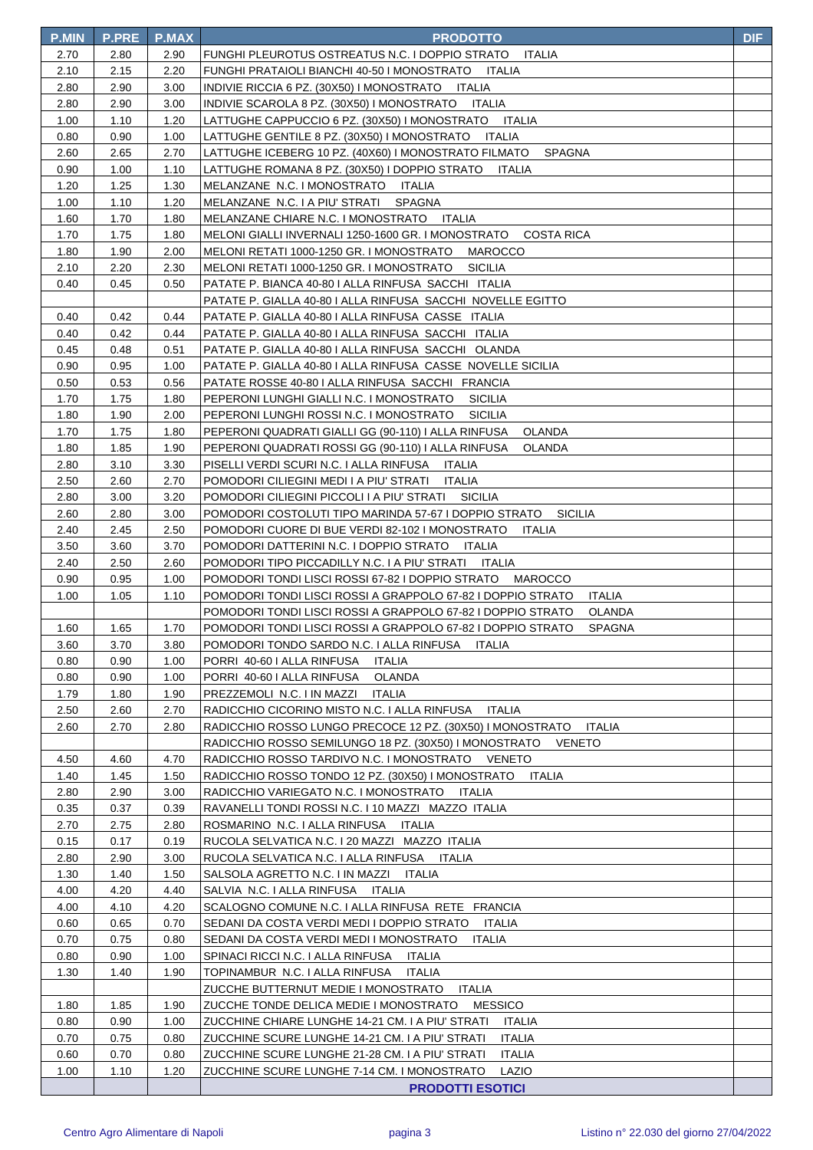| <b>P.MIN</b> | <b>P.PRE</b> | <b>P.MAX</b> | <b>PRODOTTO</b>                                                                                                                          | <b>DIF</b> |
|--------------|--------------|--------------|------------------------------------------------------------------------------------------------------------------------------------------|------------|
| 2.70         | 2.80         | 2.90         | FUNGHI PLEUROTUS OSTREATUS N.C. I DOPPIO STRATO<br><b>ITALIA</b>                                                                         |            |
| 2.10         | 2.15         | 2.20         | FUNGHI PRATAIOLI BIANCHI 40-50 I MONOSTRATO ITALIA                                                                                       |            |
| 2.80         | 2.90         | 3.00         | INDIVIE RICCIA 6 PZ. (30X50) I MONOSTRATO ITALIA                                                                                         |            |
| 2.80         | 2.90         | 3.00         | INDIVIE SCAROLA 8 PZ. (30X50) I MONOSTRATO ITALIA                                                                                        |            |
| 1.00         | 1.10         | 1.20         | LATTUGHE CAPPUCCIO 6 PZ. (30X50) I MONOSTRATO ITALIA                                                                                     |            |
| 0.80         | 0.90         | 1.00         | LATTUGHE GENTILE 8 PZ. (30X50) I MONOSTRATO ITALIA                                                                                       |            |
| 2.60         | 2.65         | 2.70         | LATTUGHE ICEBERG 10 PZ. (40X60) I MONOSTRATO FILMATO<br>SPAGNA                                                                           |            |
| 0.90         | 1.00         | 1.10         | LATTUGHE ROMANA 8 PZ. (30X50) I DOPPIO STRATO<br>ITALIA                                                                                  |            |
| 1.20         | 1.25         | 1.30         | MELANZANE N.C. I MONOSTRATO ITALIA                                                                                                       |            |
| 1.00         | 1.10         | 1.20         | MELANZANE N.C. I A PIU' STRATI SPAGNA                                                                                                    |            |
| 1.60         | 1.70         | 1.80         | MELANZANE CHIARE N.C. I MONOSTRATO ITALIA                                                                                                |            |
| 1.70         | 1.75         | 1.80         | MELONI GIALLI INVERNALI 1250-1600 GR. I MONOSTRATO COSTA RICA                                                                            |            |
| 1.80         | 1.90         | 2.00         | MELONI RETATI 1000-1250 GR. I MONOSTRATO MAROCCO                                                                                         |            |
| 2.10         | 2.20         | 2.30         | MELONI RETATI 1000-1250 GR. I MONOSTRATO<br><b>SICILIA</b>                                                                               |            |
| 0.40         | 0.45         | 0.50         | PATATE P. BIANCA 40-80   ALLA RINFUSA SACCHI ITALIA                                                                                      |            |
|              |              |              | PATATE P. GIALLA 40-80 I ALLA RINFUSA SACCHI NOVELLE EGITTO                                                                              |            |
| 0.40         | 0.42         | 0.44         | PATATE P. GIALLA 40-80   ALLA RINFUSA CASSE ITALIA                                                                                       |            |
| 0.40         | 0.42         | 0.44         | PATATE P. GIALLA 40-80 I ALLA RINFUSA SACCHI ITALIA                                                                                      |            |
| 0.45         | 0.48         | 0.51         | PATATE P. GIALLA 40-80   ALLA RINFUSA SACCHI OLANDA                                                                                      |            |
| 0.90         | 0.95         | 1.00         | PATATE P. GIALLA 40-80 I ALLA RINFUSA CASSE NOVELLE SICILIA                                                                              |            |
| 0.50         | 0.53         | 0.56         | PATATE ROSSE 40-80   ALLA RINFUSA SACCHI FRANCIA                                                                                         |            |
| 1.70         | 1.75         | 1.80         | PEPERONI LUNGHI GIALLI N.C. I MONOSTRATO<br>SICILIA                                                                                      |            |
| 1.80         | 1.90         | 2.00         | PEPERONI LUNGHI ROSSI N.C. I MONOSTRATO<br><b>SICILIA</b>                                                                                |            |
| 1.70         | 1.75         | 1.80         | PEPERONI QUADRATI GIALLI GG (90-110) I ALLA RINFUSA<br>OLANDA                                                                            |            |
| 1.80         | 1.85         | 1.90         | PEPERONI QUADRATI ROSSI GG (90-110) I ALLA RINFUSA<br>OLANDA                                                                             |            |
| 2.80         | 3.10         | 3.30         | PISELLI VERDI SCURI N.C. I ALLA RINFUSA ITALIA                                                                                           |            |
| 2.50         | 2.60         | 2.70         | POMODORI CILIEGINI MEDI I A PIU' STRATI ITALIA                                                                                           |            |
| 2.80         | 3.00         | 3.20         | POMODORI CILIEGINI PICCOLI I A PIU' STRATI SICILIA                                                                                       |            |
| 2.60         | 2.80         | 3.00         | POMODORI COSTOLUTI TIPO MARINDA 57-67 I DOPPIO STRATO<br><b>SICILIA</b>                                                                  |            |
| 2.40         | 2.45         | 2.50         | POMODORI CUORE DI BUE VERDI 82-102 I MONOSTRATO ITALIA                                                                                   |            |
| 3.50         | 3.60         | 3.70         | POMODORI DATTERINI N.C. I DOPPIO STRATO ITALIA                                                                                           |            |
| 2.40<br>0.90 | 2.50<br>0.95 | 2.60         | POMODORI TIPO PICCADILLY N.C. I A PIU' STRATI ITALIA                                                                                     |            |
| 1.00         | 1.05         | 1.00<br>1.10 | POMODORI TONDI LISCI ROSSI 67-82 I DOPPIO STRATO MAROCCO<br>POMODORI TONDI LISCI ROSSI A GRAPPOLO 67-82 I DOPPIO STRATO<br><b>ITALIA</b> |            |
|              |              |              | POMODORI TONDI LISCI ROSSI A GRAPPOLO 67-82 I DOPPIO STRATO<br><b>OLANDA</b>                                                             |            |
| 1.60         | 1.65         | 1.70         | POMODORI TONDI LISCI ROSSI A GRAPPOLO 67-82 I DOPPIO STRATO<br><b>SPAGNA</b>                                                             |            |
| 3.60         | 3.70         | 3.80         | POMODORI TONDO SARDO N.C. I ALLA RINFUSA<br>ITALIA                                                                                       |            |
| 0.80         | 0.90         | 1.00         | PORRI 40-60 I ALLA RINFUSA<br>ITALIA                                                                                                     |            |
| 0.80         | 0.90         | 1.00         | PORRI 40-60 I ALLA RINFUSA<br>OLANDA                                                                                                     |            |
| 1.79         | 1.80         | 1.90         | PREZZEMOLI N.C. I IN MAZZI<br>ITALIA                                                                                                     |            |
| 2.50         | 2.60         | 2.70         | RADICCHIO CICORINO MISTO N.C. I ALLA RINFUSA<br>ITALIA                                                                                   |            |
| 2.60         | 2.70         | 2.80         | RADICCHIO ROSSO LUNGO PRECOCE 12 PZ. (30X50) I MONOSTRATO<br><b>ITALIA</b>                                                               |            |
|              |              |              | RADICCHIO ROSSO SEMILUNGO 18 PZ. (30X50) I MONOSTRATO<br>VENETO                                                                          |            |
| 4.50         | 4.60         | 4.70         | RADICCHIO ROSSO TARDIVO N.C. I MONOSTRATO VENETO                                                                                         |            |
| 1.40         | 1.45         | 1.50         | RADICCHIO ROSSO TONDO 12 PZ. (30X50) I MONOSTRATO<br>ITALIA                                                                              |            |
| 2.80         | 2.90         | 3.00         | RADICCHIO VARIEGATO N.C. I MONOSTRATO<br>ITALIA                                                                                          |            |
| 0.35         | 0.37         | 0.39         | RAVANELLI TONDI ROSSI N.C. I 10 MAZZI MAZZO ITALIA                                                                                       |            |
| 2.70         | 2.75         | 2.80         | ROSMARINO N.C. I ALLA RINFUSA ITALIA                                                                                                     |            |
| 0.15         | 0.17         | 0.19         | RUCOLA SELVATICA N.C. I 20 MAZZI MAZZO ITALIA                                                                                            |            |
| 2.80         | 2.90         | 3.00         | RUCOLA SELVATICA N.C. I ALLA RINFUSA<br>ITALIA                                                                                           |            |
| 1.30         | 1.40         | 1.50         | SALSOLA AGRETTO N.C. I IN MAZZI<br>ITALIA                                                                                                |            |
| 4.00         | 4.20         | 4.40         | SALVIA N.C. I ALLA RINFUSA ITALIA                                                                                                        |            |
| 4.00         | 4.10         | 4.20         | SCALOGNO COMUNE N.C. I ALLA RINFUSA RETE FRANCIA                                                                                         |            |
| 0.60         | 0.65         | 0.70         | SEDANI DA COSTA VERDI MEDI I DOPPIO STRATO<br>ITALIA                                                                                     |            |
| 0.70         | 0.75         | 0.80         | SEDANI DA COSTA VERDI MEDI I MONOSTRATO<br>ITALIA                                                                                        |            |
| 0.80         | 0.90         | 1.00         | SPINACI RICCI N.C. I ALLA RINFUSA ITALIA                                                                                                 |            |
| 1.30         | 1.40         | 1.90         | TOPINAMBUR N.C. I ALLA RINFUSA<br><b>ITALIA</b>                                                                                          |            |
|              |              |              | ZUCCHE BUTTERNUT MEDIE I MONOSTRATO<br><b>ITALIA</b>                                                                                     |            |
| 1.80         | 1.85         | 1.90         | <b>MESSICO</b><br>ZUCCHE TONDE DELICA MEDIE I MONOSTRATO                                                                                 |            |
| 0.80         | 0.90         | 1.00         | ZUCCHINE CHIARE LUNGHE 14-21 CM. I A PIU' STRATI<br>ITALIA                                                                               |            |
| 0.70         | 0.75         | 0.80         | ZUCCHINE SCURE LUNGHE 14-21 CM. I A PIU' STRATI<br><b>ITALIA</b>                                                                         |            |
| 0.60         | 0.70         | 0.80         | ZUCCHINE SCURE LUNGHE 21-28 CM. I A PIU' STRATI<br><b>ITALIA</b>                                                                         |            |
| 1.00         | 1.10         | 1.20         | ZUCCHINE SCURE LUNGHE 7-14 CM. I MONOSTRATO<br>LAZIO                                                                                     |            |
|              |              |              | <b>PRODOTTI ESOTICI</b>                                                                                                                  |            |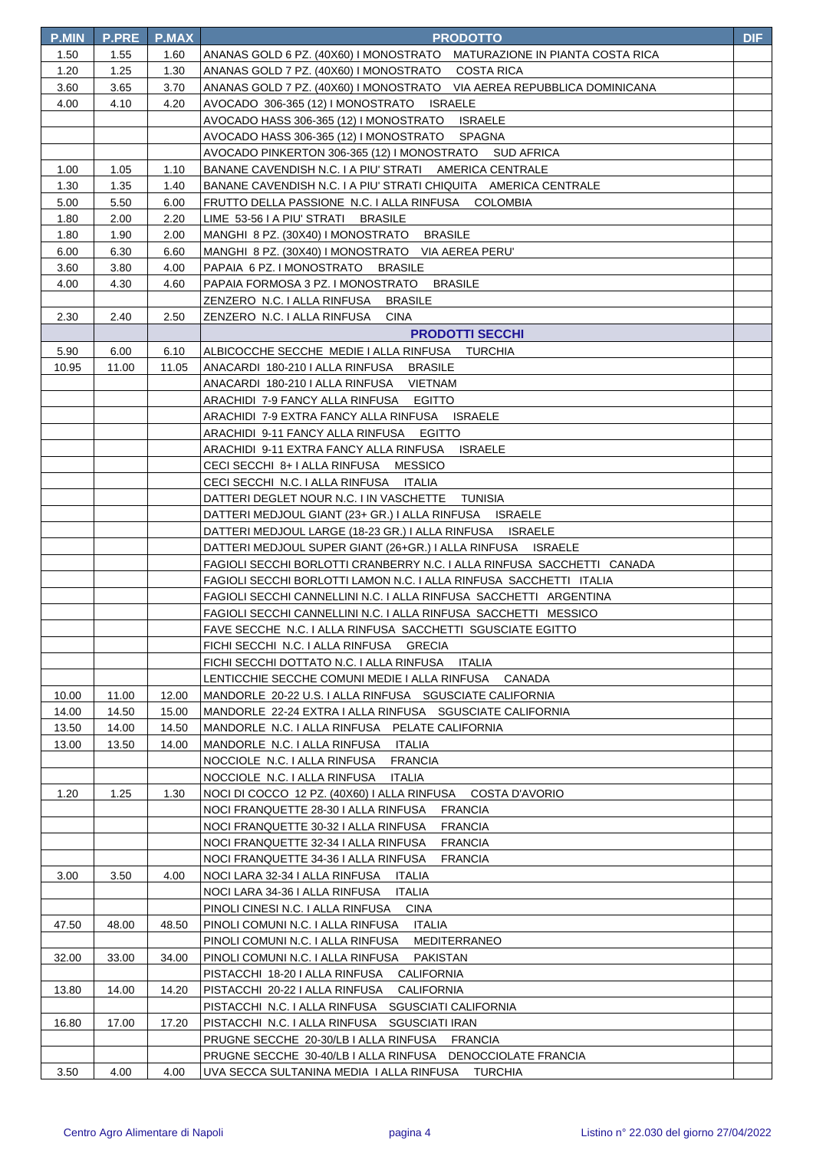| <b>P.MIN</b> | <b>P.PRE</b> | <b>P.MAX</b> | <b>PRODOTTO</b>                                                                           | DIF |
|--------------|--------------|--------------|-------------------------------------------------------------------------------------------|-----|
| 1.50         | 1.55         | 1.60         | ANANAS GOLD 6 PZ. (40X60) I MONOSTRATO MATURAZIONE IN PIANTA COSTA RICA                   |     |
| 1.20         | 1.25         | 1.30         | ANANAS GOLD 7 PZ. (40X60) I MONOSTRATO COSTA RICA                                         |     |
| 3.60         | 3.65         | 3.70         | ANANAS GOLD 7 PZ. (40X60) I MONOSTRATO VIA AEREA REPUBBLICA DOMINICANA                    |     |
| 4.00         | 4.10         | 4.20         | AVOCADO 306-365 (12) I MONOSTRATO ISRAELE                                                 |     |
|              |              |              | <b>ISRAELE</b><br>AVOCADO HASS 306-365 (12) I MONOSTRATO                                  |     |
|              |              |              | SPAGNA<br>AVOCADO HASS 306-365 (12) I MONOSTRATO                                          |     |
|              |              |              | AVOCADO PINKERTON 306-365 (12) I MONOSTRATO SUD AFRICA                                    |     |
| 1.00         | 1.05         | 1.10         | BANANE CAVENDISH N.C. I A PIU' STRATI AMERICA CENTRALE                                    |     |
| 1.30         | 1.35         | 1.40         | BANANE CAVENDISH N.C. I A PIU' STRATI CHIQUITA AMERICA CENTRALE                           |     |
| 5.00         | 5.50         | 6.00         | FRUTTO DELLA PASSIONE N.C. I ALLA RINFUSA COLOMBIA                                        |     |
| 1.80         | 2.00         | 2.20         | LIME 53-56 I A PIU' STRATI<br><b>BRASILE</b>                                              |     |
| 1.80         | 1.90         | 2.00         | MANGHI 8 PZ. (30X40) I MONOSTRATO BRASILE                                                 |     |
| 6.00         | 6.30         | 6.60         | MANGHI 8 PZ. (30X40) I MONOSTRATO VIA AEREA PERU'                                         |     |
| 3.60         | 3.80         | 4.00         | PAPAIA 6 PZ. I MONOSTRATO BRASILE                                                         |     |
| 4.00         | 4.30         | 4.60         | PAPAIA FORMOSA 3 PZ. I MONOSTRATO BRASILE                                                 |     |
|              |              |              | ZENZERO N.C. I ALLA RINFUSA<br><b>BRASILE</b>                                             |     |
| 2.30         | 2.40         | 2.50         | ZENZERO N.C. I ALLA RINFUSA<br><b>CINA</b>                                                |     |
|              |              |              | <b>PRODOTTI SECCHI</b>                                                                    |     |
| 5.90         | 6.00         | 6.10         | ALBICOCCHE SECCHE MEDIE I ALLA RINFUSA TURCHIA                                            |     |
| 10.95        | 11.00        | 11.05        | ANACARDI 180-210 I ALLA RINFUSA BRASILE                                                   |     |
|              |              |              | ANACARDI 180-210   ALLA RINFUSA VIETNAM                                                   |     |
|              |              |              | ARACHIDI 7-9 FANCY ALLA RINFUSA EGITTO                                                    |     |
|              |              |              | ARACHIDI 7-9 EXTRA FANCY ALLA RINFUSA ISRAELE                                             |     |
|              |              |              |                                                                                           |     |
|              |              |              | ARACHIDI 9-11 FANCY ALLA RINFUSA EGITTO<br>ARACHIDI 9-11 EXTRA FANCY ALLA RINFUSA ISRAELE |     |
|              |              |              |                                                                                           |     |
|              |              |              | CECI SECCHI 8+ I ALLA RINFUSA MESSICO                                                     |     |
|              |              |              | CECI SECCHI N.C. I ALLA RINFUSA ITALIA                                                    |     |
|              |              |              | DATTERI DEGLET NOUR N.C. I IN VASCHETTE TUNISIA                                           |     |
|              |              |              | DATTERI MEDJOUL GIANT (23+ GR.) I ALLA RINFUSA ISRAELE                                    |     |
|              |              |              | DATTERI MEDJOUL LARGE (18-23 GR.) I ALLA RINFUSA ISRAELE                                  |     |
|              |              |              | DATTERI MEDJOUL SUPER GIANT (26+GR.) I ALLA RINFUSA ISRAELE                               |     |
|              |              |              | FAGIOLI SECCHI BORLOTTI CRANBERRY N.C. I ALLA RINFUSA SACCHETTI CANADA                    |     |
|              |              |              | FAGIOLI SECCHI BORLOTTI LAMON N.C. I ALLA RINFUSA SACCHETTI ITALIA                        |     |
|              |              |              | FAGIOLI SECCHI CANNELLINI N.C. I ALLA RINFUSA SACCHETTI ARGENTINA                         |     |
|              |              |              | FAGIOLI SECCHI CANNELLINI N.C. I ALLA RINFUSA SACCHETTI MESSICO                           |     |
|              |              |              | FAVE SECCHE N.C. I ALLA RINFUSA SACCHETTI SGUSCIATE EGITTO                                |     |
|              |              |              | FICHI SECCHI N.C. I ALLA RINFUSA GRECIA                                                   |     |
|              |              |              | FICHI SECCHI DOTTATO N.C. I ALLA RINFUSA<br><b>ITALIA</b>                                 |     |
|              |              |              | LENTICCHIE SECCHE COMUNI MEDIE I ALLA RINFUSA CANADA                                      |     |
| 10.00        | 11.00        | 12.00        | MANDORLE 20-22 U.S. I ALLA RINFUSA SGUSCIATE CALIFORNIA                                   |     |
| 14.00        | 14.50        | 15.00        | MANDORLE 22-24 EXTRA I ALLA RINFUSA SGUSCIATE CALIFORNIA                                  |     |
| 13.50        | 14.00        | 14.50        | MANDORLE N.C. I ALLA RINFUSA PELATE CALIFORNIA                                            |     |
| 13.00        | 13.50        | 14.00        | MANDORLE N.C. I ALLA RINFUSA<br><b>ITALIA</b>                                             |     |
|              |              |              | NOCCIOLE N.C. I ALLA RINFUSA<br><b>FRANCIA</b>                                            |     |
|              |              |              | NOCCIOLE N.C. I ALLA RINFUSA<br><b>ITALIA</b>                                             |     |
| 1.20         | 1.25         | 1.30         | NOCI DI COCCO 12 PZ. (40X60) I ALLA RINFUSA<br><b>COSTA D'AVORIO</b>                      |     |
|              |              |              | NOCI FRANQUETTE 28-30 I ALLA RINFUSA<br><b>FRANCIA</b>                                    |     |
|              |              |              | NOCI FRANQUETTE 30-32 I ALLA RINFUSA<br><b>FRANCIA</b>                                    |     |
|              |              |              | NOCI FRANQUETTE 32-34 I ALLA RINFUSA<br><b>FRANCIA</b>                                    |     |
|              |              |              | NOCI FRANQUETTE 34-36 I ALLA RINFUSA<br><b>FRANCIA</b>                                    |     |
| 3.00         | 3.50         | 4.00         | NOCI LARA 32-34 I ALLA RINFUSA<br>ITALIA                                                  |     |
|              |              |              | <b>ITALIA</b><br>NOCI LARA 34-36 I ALLA RINFUSA                                           |     |
|              |              |              | PINOLI CINESI N.C. I ALLA RINFUSA<br><b>CINA</b>                                          |     |
| 47.50        | 48.00        | 48.50        | PINOLI COMUNI N.C. I ALLA RINFUSA<br><b>ITALIA</b>                                        |     |
|              |              |              | PINOLI COMUNI N.C. I ALLA RINFUSA<br>MEDITERRANEO                                         |     |
| 32.00        | 33.00        | 34.00        | PINOLI COMUNI N.C. I ALLA RINFUSA<br><b>PAKISTAN</b>                                      |     |
|              |              |              | PISTACCHI 18-20 I ALLA RINFUSA<br><b>CALIFORNIA</b>                                       |     |
| 13.80        | 14.00        | 14.20        | PISTACCHI 20-22 I ALLA RINFUSA<br><b>CALIFORNIA</b>                                       |     |
|              |              |              | PISTACCHI N.C. I ALLA RINFUSA SGUSCIATI CALIFORNIA                                        |     |
| 16.80        | 17.00        | 17.20        | PISTACCHI N.C. I ALLA RINFUSA SGUSCIATI IRAN                                              |     |
|              |              |              | PRUGNE SECCHE 20-30/LB I ALLA RINFUSA<br><b>FRANCIA</b>                                   |     |
|              |              |              | PRUGNE SECCHE 30-40/LB I ALLA RINFUSA DENOCCIOLATE FRANCIA                                |     |
| 3.50         | 4.00         | 4.00         | UVA SECCA SULTANINA MEDIA I ALLA RINFUSA TURCHIA                                          |     |